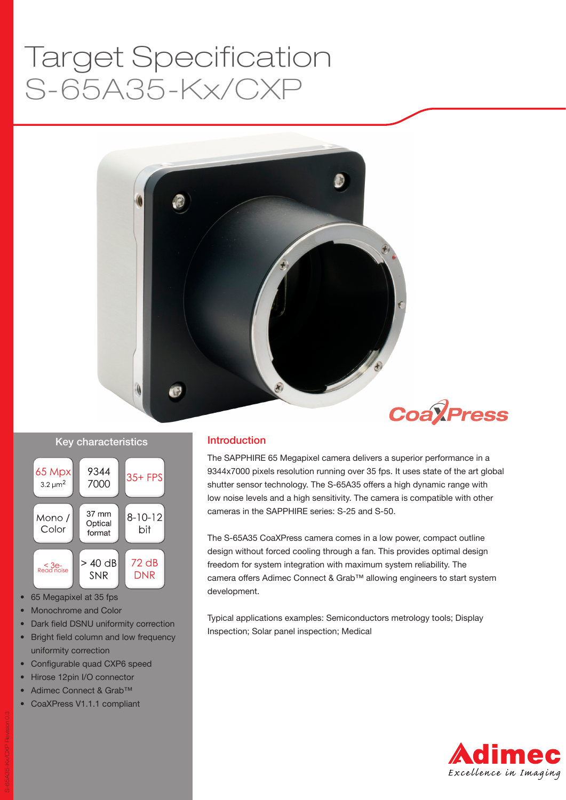# S-65A35-Kx/CXP Target Specification





#### Key characteristics



- 65 Megapixel at 35 fps
- Monochrome and Color
- Dark field DSNU uniformity correction
- Bright field column and low frequency uniformity correction
- Configurable quad CXP6 speed
- Hirose 12pin I/O connector
- Adimec Connect & Grab™
- CoaXPress V1.1.1 compliant

#### Introduction

The SAPPHIRE 65 Megapixel camera delivers a superior performance in a 9344x7000 pixels resolution running over 35 fps. It uses state of the art global shutter sensor technology. The S-65A35 offers a high dynamic range with low noise levels and a high sensitivity. The camera is compatible with other cameras in the SAPPHIRE series: S-25 and S-50.

The S-65A35 CoaXPress camera comes in a low power, compact outline design without forced cooling through a fan. This provides optimal design freedom for system integration with maximum system reliability. The camera offers Adimec Connect & Grab™ allowing engineers to start system development.

Typical applications examples: Semiconductors metrology tools; Display Inspection; Solar panel inspection; Medical

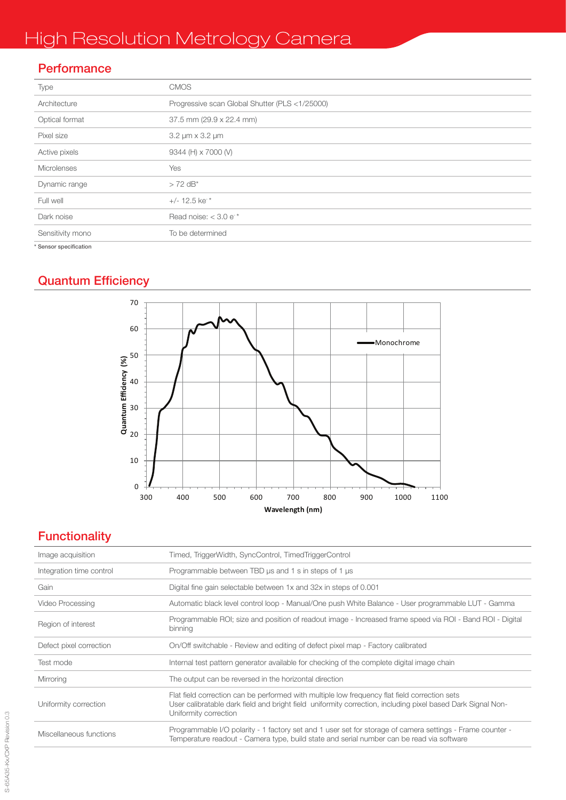# High Resolution Metrology Camera

# **Performance**

| Type                   | <b>CMOS</b>                                    |  |  |
|------------------------|------------------------------------------------|--|--|
| Architecture           | Progressive scan Global Shutter (PLS <1/25000) |  |  |
| Optical format         | 37.5 mm (29.9 x 22.4 mm)                       |  |  |
| Pixel size             | 3.2 µm x 3.2 µm                                |  |  |
| Active pixels          | 9344 (H) x 7000 (V)                            |  |  |
| Microlenses            | Yes                                            |  |  |
| Dynamic range          | $> 72$ dB <sup>*</sup>                         |  |  |
| Full well              | $+/- 12.5$ ke <sup>*</sup>                     |  |  |
| Dark noise             | Read noise: $<$ 3.0 e <sup>*</sup>             |  |  |
| Sensitivity mono       | To be determined                               |  |  |
| * Sensor specification |                                                |  |  |

# Quantum Efficiency



# **Functionality**

| Image acquisition        | Timed, TriggerWidth, SyncControl, TimedTriggerControl                                                                                                                                                                                 |  |  |  |
|--------------------------|---------------------------------------------------------------------------------------------------------------------------------------------------------------------------------------------------------------------------------------|--|--|--|
| Integration time control | Programmable between TBD us and 1 s in steps of 1 us                                                                                                                                                                                  |  |  |  |
| Gain                     | Digital fine gain selectable between 1x and 32x in steps of 0.001                                                                                                                                                                     |  |  |  |
| Video Processing         | Automatic black level control loop - Manual/One push White Balance - User programmable LUT - Gamma                                                                                                                                    |  |  |  |
| Region of interest       | Programmable ROI; size and position of readout image - Increased frame speed via ROI - Band ROI - Digital<br>binning                                                                                                                  |  |  |  |
| Defect pixel correction  | On/Off switchable - Review and editing of defect pixel map - Factory calibrated                                                                                                                                                       |  |  |  |
| Test mode                | Internal test pattern generator available for checking of the complete digital image chain                                                                                                                                            |  |  |  |
| Mirroring                | The output can be reversed in the horizontal direction                                                                                                                                                                                |  |  |  |
| Uniformity correction    | Flat field correction can be performed with multiple low frequency flat field correction sets<br>User calibratable dark field and bright field uniformity correction, including pixel based Dark Signal Non-<br>Uniformity correction |  |  |  |
| Miscellaneous functions  | Programmable I/O polarity - 1 factory set and 1 user set for storage of camera settings - Frame counter -<br>Temperature readout - Camera type, build state and serial number can be read via software                                |  |  |  |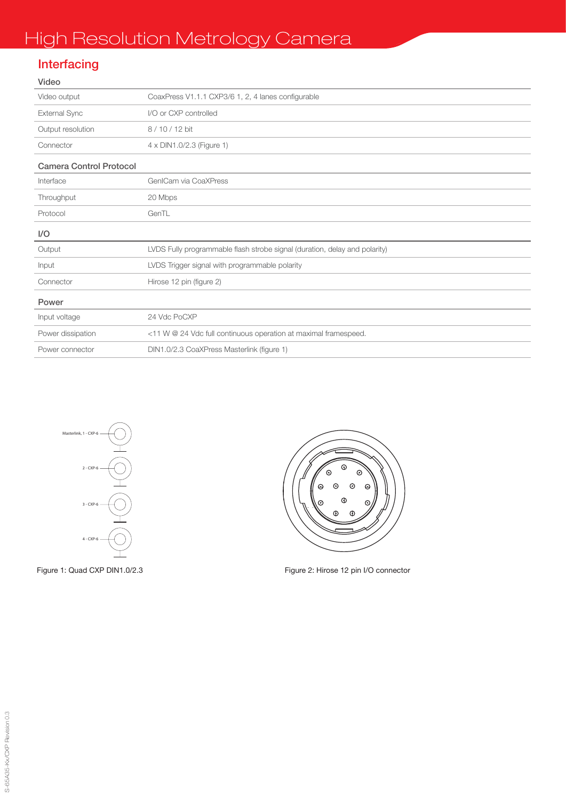# **Interfacing**

| Video                          |                                                                            |  |  |  |
|--------------------------------|----------------------------------------------------------------------------|--|--|--|
| Video output                   | CoaxPress V1.1.1 CXP3/6 1, 2, 4 lanes configurable                         |  |  |  |
| External Sync                  | I/O or CXP controlled                                                      |  |  |  |
| Output resolution              | 8/10/12 bit                                                                |  |  |  |
| Connector                      | 4 x DIN1.0/2.3 (Figure 1)                                                  |  |  |  |
| <b>Camera Control Protocol</b> |                                                                            |  |  |  |
| Interface                      | GenlCam via CoaXPress                                                      |  |  |  |
| Throughput                     | 20 Mbps                                                                    |  |  |  |
| Protocol                       | GenTI                                                                      |  |  |  |
| I/O                            |                                                                            |  |  |  |
| Output                         | LVDS Fully programmable flash strobe signal (duration, delay and polarity) |  |  |  |
| Input                          | LVDS Trigger signal with programmable polarity                             |  |  |  |
| Connector                      | Hirose 12 pin (figure 2)                                                   |  |  |  |
| Power                          |                                                                            |  |  |  |
| Input voltage                  | 24 Vdc PoCXP                                                               |  |  |  |
| Power dissipation              | <11 W @ 24 Vdc full continuous operation at maximal framespeed.            |  |  |  |
| Power connector                | DIN1.0/2.3 CoaXPress Masterlink (figure 1)                                 |  |  |  |





Figure 1: Quad CXP DIN1.0/2.3 Figure 2: Hirose 12 pin I/O connector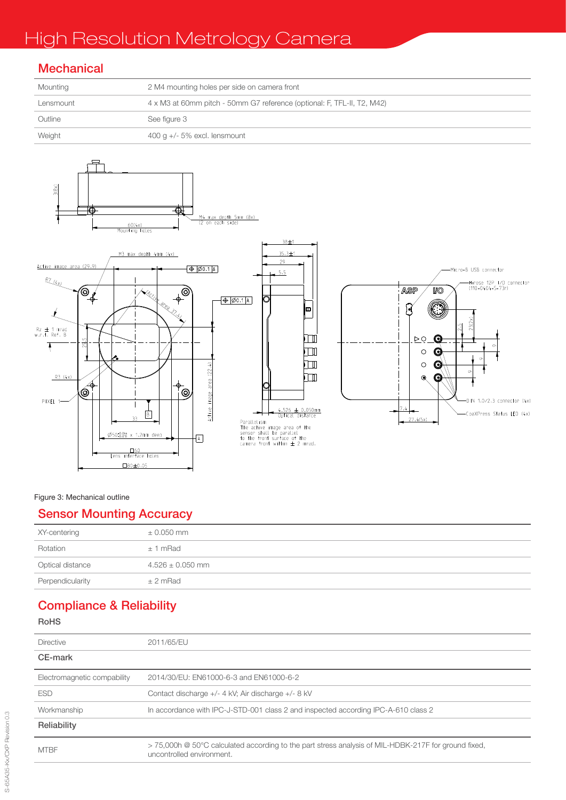# High Resolution Metrology Camera

## **Mechanical**

| Mounting  | 2 M4 mounting holes per side on camera front                            |  |  |
|-----------|-------------------------------------------------------------------------|--|--|
| Lensmount | 4 x M3 at 60mm pitch - 50mm G7 reference (optional: F, TFL-II, T2, M42) |  |  |
| Outline   | See figure 3                                                            |  |  |
| Weight    | $400$ g $+/- 5\%$ excl. lensmount                                       |  |  |



#### Figure 3: Mechanical outline

## Sensor Mounting Accuracy

| XY-centering     | $\pm$ 0.050 mm       |
|------------------|----------------------|
| Rotation         | $± 1$ mRad           |
| Optical distance | $4.526 \pm 0.050$ mm |
| Perpendicularity | $±$ 2 mRad           |

# Compliance & Reliability

#### RoHS

| <b>Directive</b>            | 2011/65/FU                                                                                                                                     |  |  |  |
|-----------------------------|------------------------------------------------------------------------------------------------------------------------------------------------|--|--|--|
| CE-mark                     |                                                                                                                                                |  |  |  |
| Electromagnetic compability | 2014/30/EU: EN61000-6-3 and EN61000-6-2                                                                                                        |  |  |  |
| <b>FSD</b>                  | Contact discharge +/- 4 kV; Air discharge +/- 8 kV                                                                                             |  |  |  |
| Workmanship                 | In accordance with IPC-J-STD-001 class 2 and inspected according IPC-A-610 class 2                                                             |  |  |  |
| Reliability                 |                                                                                                                                                |  |  |  |
| <b>MTBF</b>                 | $>$ 75,000h @ 50 $^{\circ}$ C calculated according to the part stress analysis of MIL-HDBK-217F for ground fixed,<br>uncontrolled environment. |  |  |  |